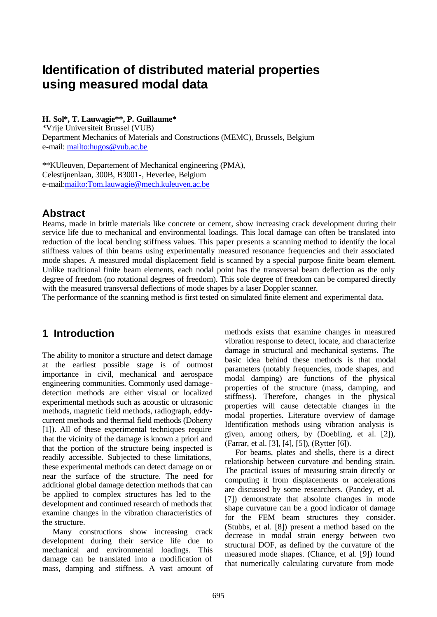# **Identification of distributed material properties using measured modal data**

## **H. Sol\*, T. Lauwagie\*\*, P. Guillaume\***

\*Vrije Universiteit Brussel (VUB) Department Mechanics of Materials and Constructions (MEMC), Brussels, Belgium e-mail: mailto:hugos@vub.ac.be

\*\*KUleuven, Departement of Mechanical engineering (PMA), Celestijnenlaan, 300B, B3001-, Heverlee, Belgium e-mail:mailto:Tom.lauwagie@mech.kuleuven.ac.be

## **Abstract**

Beams, made in brittle materials like concrete or cement, show increasing crack development during their service life due to mechanical and environmental loadings. This local damage can often be translated into reduction of the local bending stiffness values. This paper presents a scanning method to identify the local stiffness values of thin beams using experimentally measured resonance frequencies and their associated mode shapes. A measured modal displacement field is scanned by a special purpose finite beam element. Unlike traditional finite beam elements, each nodal point has the transversal beam deflection as the only degree of freedom (no rotational degrees of freedom). This sole degree of freedom can be compared directly with the measured transversal deflections of mode shapes by a laser Doppler scanner.

The performance of the scanning method is first tested on simulated finite element and experimental data.

## **1 Introduction**

The ability to monitor a structure and detect damage at the earliest possible stage is of outmost importance in civil, mechanical and aerospace engineering communities. Commonly used damagedetection methods are either visual or localized experimental methods such as acoustic or ultrasonic methods, magnetic field methods, radiograph, eddycurrent methods and thermal field methods (Doherty [1]). All of these experimental techniques require that the vicinity of the damage is known a priori and that the portion of the structure being inspected is readily accessible. Subjected to these limitations, these experimental methods can detect damage on or near the surface of the structure. The need for additional global damage detection methods that can be applied to complex structures has led to the development and continued research of methods that examine changes in the vibration characteristics of the structure.

Many constructions show increasing crack development during their service life due to mechanical and environmental loadings. This damage can be translated into a modification of mass, damping and stiffness. A vast amount of methods exists that examine changes in measured vibration response to detect, locate, and characterize damage in structural and mechanical systems. The basic idea behind these methods is that modal parameters (notably frequencies, mode shapes, and modal damping) are functions of the physical properties of the structure (mass, damping, and stiffness). Therefore, changes in the physical properties will cause detectable changes in the modal properties. Literature overview of damage Identification methods using vibration analysis is given, among others, by (Doebling, et al. [2]), (Farrar, et al. [3], [4], [5]), (Rytter [6]).

For beams, plates and shells, there is a direct relationship between curvature and bending strain. The practical issues of measuring strain directly or computing it from displacements or accelerations are discussed by some researchers. (Pandey, et al. [7]) demonstrate that absolute changes in mode shape curvature can be a good indicator of damage for the FEM beam structures they consider. (Stubbs, et al. [8]) present a method based on the decrease in modal strain energy between two structural DOF, as defined by the curvature of the measured mode shapes. (Chance, et al. [9]) found that numerically calculating curvature from mode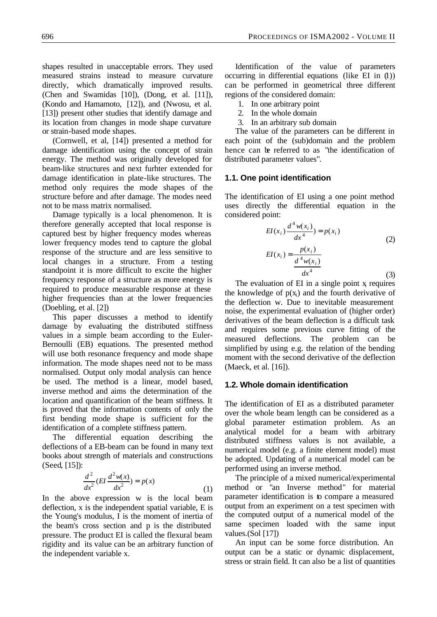shapes resulted in unacceptable errors. They used measured strains instead to measure curvature directly, which dramatically improved results. (Chen and Swamidas [10]), (Dong, et al. [11]), (Kondo and Hamamoto, [12]), and (Nwosu, et al. [13]) present other studies that identify damage and its location from changes in mode shape curvature or strain-based mode shapes.

(Cornwell, et al, [14]) presented a method for damage identification using the concept of strain energy. The method was originally developed for beam-like structures and next furhter extended for damage identification in plate-like structures. The method only requires the mode shapes of the structure before and after damage. The modes need not to be mass matrix normalised.

Damage typically is a local phenomenon. It is therefore generally accepted that local response is captured best by higher frequency modes whereas lower frequency modes tend to capture the global response of the structure and are less sensitive to local changes in a structure. From a testing standpoint it is more difficult to excite the higher frequency response of a structure as more energy is required to produce measurable response at these higher frequencies than at the lower frequencies (Doebling, et al. [2])

This paper discusses a method to identify damage by evaluating the distributed stiffness values in a simple beam according to the Euler-Bernoulli (EB) equations. The presented method will use both resonance frequency and mode shape information. The mode shapes need not to be mass normalised. Output only modal analysis can hence be used. The method is a linear, model based, inverse method and aims the determination of the location and quantification of the beam stiffness. It is proved that the information contents of only the first bending mode shape is sufficient for the identification of a complete stiffness pattern.

The differential equation describing the deflections of a EB-beam can be found in many text books about strength of materials and constructions (Seed, [15]):

$$
\frac{d^2}{dx^2}(EI\frac{d^2w(x)}{dx^2}) = p(x)
$$
\n(1)

In the above expression w is the local beam deflection, x is the independent spatial variable, E is the Young's modulus, I is the moment of inertia of the beam's cross section and p is the distributed pressure. The product EI is called the flexural beam rigidity and its value can be an arbitrary function of the independent variable x.

Identification of the value of parameters occurring in differential equations (like EI in (1)) can be performed in geometrical three different regions of the considered domain:

- 1. In one arbitrary point
- 2. In the whole domain
- 3. In an arbitrary sub domain

The value of the parameters can be different in each point of the (sub)domain and the problem hence can be referred to as "the identification of distributed parameter values".

#### **1.1. One point identification**

The identification of EI using a one point method uses directly the differential equation in the considered point:

$$
EI(x_i) \frac{d^4 w(x_i)}{dx^4} = p(x_i)
$$
\n
$$
EI(x_i) = \frac{p(x_i)}{\frac{d^4 w(x_i)}{dx^4}}
$$
\n(2)

The evaluation of  $EI$  in a single point  $x_i$  requires the knowledge of  $p(x<sub>i</sub>)$  and the fourth derivative of the deflection w. Due to inevitable measurement noise, the experimental evaluation of (higher order) derivatives of the beam deflection is a difficult task and requires some previous curve fitting of the measured deflections. The problem can be simplified by using e.g. the relation of the bending moment with the second derivative of the deflection (Maeck, et al. [16]).

### **1.2. Whole domain identification**

The identification of EI as a distributed parameter over the whole beam length can be considered as a global parameter estimation problem. As an analytical model for a beam with arbitrary distributed stiffness values is not available, a numerical model (e.g. a finite element model) must be adopted. Updating of a numerical model can be performed using an inverse method.

The principle of a mixed numerical/experimental method or "an Inverse method" for material parameter identification is to compare a measured output from an experiment on a test specimen with the computed output of a numerical model of the same specimen loaded with the same input values.(Sol [17])

An input can be some force distribution. An output can be a static or dynamic displacement, stress or strain field. It can also be a list of quantities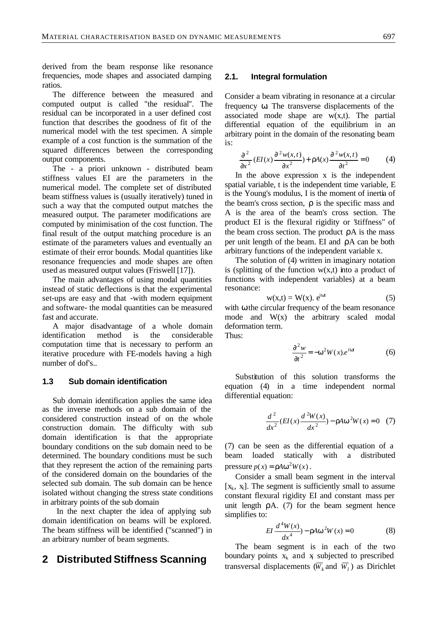derived from the beam response like resonance frequencies, mode shapes and associated damping ratios.

The difference between the measured and computed output is called "the residual". The residual can be incorporated in a user defined cost function that describes the goodness of fit of the numerical model with the test specimen. A simple example of a cost function is the summation of the squared differences between the corresponding output components.

The - a priori unknown - distributed beam stiffness values EI are the parameters in the numerical model. The complete set of distributed beam stiffness values is (usually iteratively) tuned in such a way that the computed output matches the measured output. The parameter modifications are computed by minimisation of the cost function. The final result of the output matching procedure is an estimate of the parameters values and eventually an estimate of their error bounds. Modal quantities like resonance frequencies and mode shapes are often used as measured output values (Friswell [17]).

The main advantages of using modal quantities instead of static deflections is that the experimental set-ups are easy and that -with modern equipment and software- the modal quantities can be measured fast and accurate.

A major disadvantage of a whole domain identification method is the considerable computation time that is necessary to perform an iterative procedure with FE-models having a high number of dof's..

## **1.3 Sub domain identification**

Sub domain identification applies the same idea as the inverse methods on a sub domain of the considered construction instead of on the whole construction domain. The difficulty with sub domain identification is that the appropriate boundary conditions on the sub domain need to be determined. The boundary conditions must be such that they represent the action of the remaining parts of the considered domain on the boundaries of the selected sub domain. The sub domain can be hence isolated without changing the stress state conditions in arbitrary points of the sub domain

 In the next chapter the idea of applying sub domain identification on beams will be explored. The beam stiffness will be identified ("scanned") in an arbitrary number of beam segments.

## **2 Distributed Stiffness Scanning**

### **2.1. Integral formulation**

Consider a beam vibrating in resonance at a circular frequency ω. The transverse displacements of the associated mode shape are  $w(x,t)$ . The partial differential equation of the equilibrium in an arbitrary point in the domain of the resonating beam is:

$$
\frac{\partial^2}{\partial x^2} (EI(x) \frac{\partial^2 w(x,t)}{\partial x^2}) + rA(x) \frac{\partial^2 w(x,t)}{\partial t^2} = 0
$$
 (4)

In the above expression x is the independent spatial variable, t is the independent time variable, E is the Young's modulus, I is the moment of inertia of the beam's cross section,  $ρ$  is the specific mass and A is the area of the beam's cross section. The product EI is the flexural rigidity or "stiffness" of the beam cross section. The product  $\rho A$  is the mass per unit length of the beam. EI and ρA can be both arbitrary functions of the independent variable x.

The solution of (4) written in imaginary notation is (splitting of the function  $w(x,t)$  into a product of functions with independent variables) at a beam resonance:

$$
w(x,t) = W(x). e^{i\omega t}
$$
 (5)

with ω the circular frequency of the beam resonance mode and  $W(x)$  the arbitrary scaled modal deformation term.

Thus:

$$
\frac{\partial^2 w}{\partial t^2} = -\mathbf{w}^2 W(x) e^{i\mathbf{w}}
$$
 (6)

Substitution of this solution transforms the equation (4) in a time independent normal differential equation:

$$
\frac{d^2}{dx^2}(EI(x)\frac{d^2W(x)}{dx^2}) - rAw^2W(x) = 0
$$
 (7)

(7) can be seen as the differential equation of a beam loaded statically with a distributed pressure  $p(x) = rA w^2 W(x)$ .

Consider a small beam segment in the interval  $[x_k, x_l]$ . The segment is sufficiently small to assume constant flexural rigidity EI and constant mass per unit length  $\rho A$ . (7) for the beam segment hence simplifies to:

$$
EI \frac{d^4 W(x)}{dx^4} - rA w^2 W(x) = 0
$$
 (8)

The beam segment is in each of the two boundary points  $x_k$  and  $x_k$  subjected to prescribed transversal displacements ( $\overline{W}_k$  and  $\overline{W}_l$ ) as Dirichlet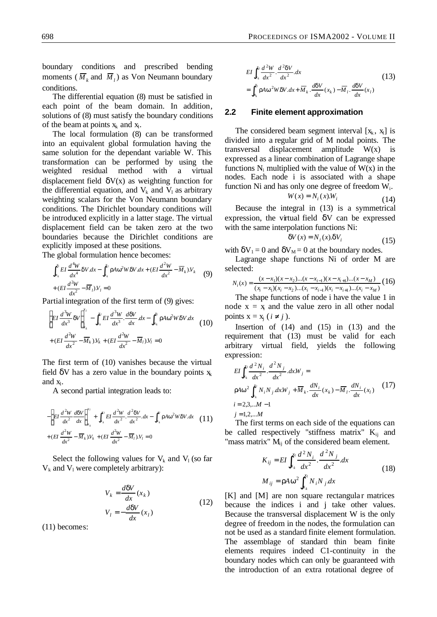boundary conditions and prescribed bending moments ( $\overline{M}_k$  and  $\overline{M}_l$ ) as Von Neumann boundary conditions.

The differential equation (8) must be satisfied in each point of the beam domain. In addition, solutions of (8) must satisfy the boundary conditions of the beam at points  $x_k$  and  $x_l$ .

The local formulation (8) can be transformed into an equivalent global formulation having the same solution for the dependant variable W. This transformation can be performed by using the weighted residual method with a virtual displacement field  $\delta V(x)$  as weighting function for the differential equation, and  $V_k$  and  $V_l$  as arbitrary weighting scalars for the Von Neumann boundary conditions. The Dirichlet boundary conditions will be introduced explicitly in a latter stage. The virtual displacement field can be taken zero at the two boundaries because the Dirichlet conditions are explicitly imposed at these positions.

The global formulation hence becomes:

$$
\int_{x_k}^{x_l} EI \frac{d^4 W}{dx^4} dV dx - \int_{x_k}^{x_l} r A w^2 W dV dx + (EI \frac{d^2 W}{dx^2} - \overline{M}_k) V_k
$$
 (9)  
+ 
$$
(EI \frac{d^2 W}{dx^2} - \overline{M}_l) V_l = 0
$$

Partial integration of the first term of (9) gives:

$$
\left[EI\frac{d^3W}{dx^3}dV\right]_{x_k}^{x_l} - \int_{x_k}^{x_l}EI\frac{d^3W}{dx^3}\cdot\frac{d^2W}{dx}dx - \int_{x_k}^{x_l}rAw^2WdVdx
$$
\n
$$
+ (EI\frac{d^2W}{dx^2} - \overline{M}_k)V_k + (EI\frac{d^2W}{dx^2} - \overline{M}_l)V_l = 0
$$
\n(10)

The first term of (10) vanishes because the virtual field  $\delta V$  has a zero value in the boundary points  $x_k$ and  $x_i$ .

A second partial integration leads to:

$$
-\left[EI\frac{d^2W}{dx^2}\frac{d\mathbf{d}V}{dx}\right]_{x_k}^{x_l} + \int_{x_k}^{x_l} EI\frac{d^2W}{dx^2}\cdot\frac{d^2\mathbf{d}V}{dx^2}dx - \int_{x_k}^{x_l} \mathbf{r}A\mathbf{w}^2W\mathbf{d}V\cdot dx
$$
 (11)  
+  $(EI\frac{d^2W}{dx^2} - \overline{M}_k)V_k + (EI\frac{d^2W}{dx^2} - \overline{M}_l)V_l = 0$ 

Select the following values for  $V_k$  and  $V_l$  (so far  $V_k$  and  $V_l$  were completely arbitrary):

$$
V_k = \frac{d\mathbf{d}V}{dx}(x_k)
$$
  
\n
$$
V_l = -\frac{d\mathbf{d}V}{dx}(x_l)
$$
\n(12)

(11) becomes:

$$
EI\int_{x_k}^{x_l} \frac{d^2W}{dx^2} \cdot \frac{d^2dV}{dx^2} dx
$$
  
= 
$$
\int_{x_k}^{x_l} rA w^2 W dV dx + \overline{M}_k \cdot \frac{ddV}{dx}(x_k) - \overline{M}_l \cdot \frac{ddV}{dx}(x_l)
$$
 (13)

#### **2.2 Finite element approximation**

The considered beam segment interval  $[x_k, x_l]$  is divided into a regular grid of M nodal points. The transversal displacement amplitude  $W(x)$ expressed as a linear combination of Lagrange shape functions  $N_i$  multiplied with the value of  $W(x)$  in the nodes. Each node i is associated with a shape function Ni and has only one degree of freedom  $W_i$ .

$$
W(x) = N_i(x).W_i
$$
 (14)

Because the integral in (13) is a symmetrical expression, the virtual field  $\delta V$  can be expressed with the same interpolation functions Ni:

$$
dV(x) = N_i(x).dV_i
$$
 (15)

with  $\delta V_1 = 0$  and  $\delta V_M = 0$  at the boundary nodes.

Lagrange shape functions Ni of order M are selected:

$$
N_i(x) = \frac{(x - x_1)(x - x_2)...(x - x_{i-1})(x - x_{i+1})...(x - x_M)}{(x_i - x_1)(x_i - x_2)...(x_i - x_{i-1})(x_i - x_{i+1})...(x_i - x_M)} (16)
$$

The shape functions of node i have the value 1 in node  $x = x$  and the value zero in all other nodal points  $x = x_j$  ( $i \neq j$ ).

Insertion of (14) and (15) in (13) and the requirement that (13) must be valid for each arbitrary virtual field, yields the following expression:

$$
EI\int_{x_i}^{x_i} \frac{d^2 N_i}{dx^2} \cdot \frac{d^2 N_j}{dx^2} dxW_j =
$$
  
\n
$$
rAw^2 \int_{x_k}^{x_i} N_i N_j dxW_j + \overline{M}_k \cdot \frac{dN_i}{dx}(x_k) - \overline{M}_l \cdot \frac{dN_i}{dx}(x_l)
$$
 (17)  
\n $i = 2,3,...M - 1$   
\n $j = 1,2,...M$ 

The first terms on each side of the equations can be called respectively "stiffness matrix"  $K_{ij}$  and "mass matrix"  $M_{ii}$  of the considered beam element.

$$
K_{ij} = EI \int_{x_k}^{x_i} \frac{d^2 N_i}{dx^2} \cdot \frac{d^2 N_j}{dx^2} dx
$$
  

$$
M_{ij} = rA w^2 \int_{x_k}^{x_i} N_i N_j dx
$$
 (18)

[K] and [M] are non square rectangular matrices because the indices i and j take other values. Because the transversal displacement W is the only degree of freedom in the nodes, the formulation can not be used as a standard finite element formulation. The assemblage of standard thin beam finite elements requires indeed C1-continuity in the boundary nodes which can only be guaranteed with the introduction of an extra rotational degree of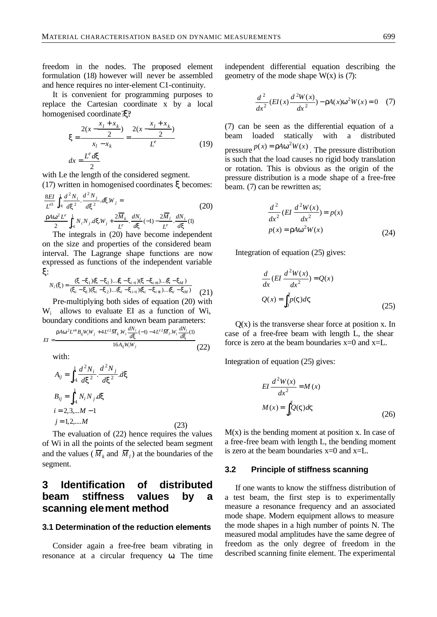freedom in the nodes. The proposed element formulation (18) however will never be assembled and hence requires no inter-element C1-continuity.

It is convenient for programming purposes to replace the Cartesian coordinate x by a local homogenised coordinate ξ?

$$
\mathbf{x} = \frac{2(x - \frac{x_1 + x_k}{2})}{x_1 - x_k} = \frac{2(x - \frac{x_1 + x_k}{2})}{L^e}
$$
  

$$
dx = \frac{L^e d\mathbf{x}}{2}
$$
 (19)

with Le the length of the considered segment.

(17) written in homogenised coordinates ξ becomes:

$$
\frac{8EI}{L^{e3}} \int_{-1}^{1} \frac{d^2 N_i}{d\mathbf{x}^2} \cdot \frac{d^2 N_j}{d\mathbf{x}^2} \cdot d\mathbf{x} W_j =
$$
\n
$$
\frac{r A \mathbf{w}^2 L^e}{2} \int_{-1}^{1} N_i N_j d\mathbf{x} W_j + \frac{2 \overline{M}_k}{L^e} \cdot \frac{d N_i}{d\mathbf{x}} (-1) - \frac{2 \overline{M}_l}{L^e} \cdot \frac{d N_i}{d\mathbf{x}} (1)
$$
\n(20)

The integrals in (20) have become independent on the size and properties of the considered beam interval. The Lagrange shape functions are now expressed as functions of the independent variable ξ:

$$
N_i(\mathbf{x}) = \frac{(\mathbf{x} - \mathbf{x}_1)(\mathbf{x} - \mathbf{x}_2) \dots (\mathbf{x} - \mathbf{x}_{i-1})(\mathbf{x} - \mathbf{x}_{i+1}) \dots (\mathbf{x} - \mathbf{x}_M)}{(\mathbf{x}_i - \mathbf{x}_1)(\mathbf{x}_i - \mathbf{x}_2) \dots (\mathbf{x}_i - \mathbf{x}_{i-1})(\mathbf{x}_i - \mathbf{x}_{i+1}) \dots (\mathbf{x}_i - \mathbf{x}_M)}
$$
(21)

Pre-multiplying both sides of equation (20) with W<sup>i</sup> allows to evaluate EI as a function of Wi, boundary conditions and known beam parameters:

$$
EI = \frac{r A w^2 L^{e4} B_{ij} W_i W_j + 4 L^{e2} \overline{M}_k W_i \frac{d N_i}{d x} (-1) - 4 L^{e2} \overline{M}_i W_i \frac{d N_i}{d x} (1)}{16 A_{ij} W_i W_j}
$$
(22)

with:

$$
A_{ij} = \int_{-1}^{1} \frac{d^2 N_i}{d x^2} \cdot \frac{d^2 N_j}{d x^2} dx
$$
  
\n
$$
B_{ij} = \int_{-1}^{1} N_i N_j d x
$$
  
\n $i = 2, 3, \dots M - 1$   
\n $j = 1, 2, \dots M$  (23)

The evaluation of (22) hence requires the values of Wi in all the points of the selected beam segment and the values ( $\overline{M}_k$  and  $\overline{M}_l$ ) at the boundaries of the segment.

## **3 Identification of distributed beam stiffness values by a scanning element method**

### **3.1 Determination of the reduction elements**

Consider again a free-free beam vibrating in resonance at a circular frequency ω. The time independent differential equation describing the geometry of the mode shape  $W(x)$  is (7):

$$
\frac{d^2}{dx^2}(EI(x)\frac{d^2W(x)}{dx^2}) - rA(x)w^2W(x) = 0 \quad (7)
$$

(7) can be seen as the differential equation of a beam loaded statically with a distributed pressure  $p(x) = r A w^2 W(x)$ . The pressure distribution is such that the load causes no rigid body translation or rotation. This is obvious as the origin of the pressure distribution is a mode shape of a free-free beam. (7) can be rewritten as;

$$
\frac{d^2}{dx^2} (EI \frac{d^2 W(x)}{dx^2}) = p(x)
$$
  

$$
p(x) = rA w^2 W(x)
$$
 (24)

Integration of equation (25) gives:

$$
\frac{d}{dx}(EI \frac{d^2 W(x)}{dx^2}) = Q(x)
$$

$$
Q(x) = \int_0^x p(V)dV
$$
(25)

 $Q(x)$  is the transverse shear force at position x. In case of a free-free beam with length L, the shear force is zero at the beam boundaries  $x=0$  and  $x=L$ .

Integration of equation (25) gives:

$$
EI \frac{d^2 W(x)}{dx^2} = M(x)
$$

$$
M(x) = \int_0^x Q(V)dV
$$
(26)

 $M(x)$  is the bending moment at position x. In case of a free-free beam with length L, the bending moment is zero at the beam boundaries x=0 and x=L.

#### **3.2 Principle of stiffness scanning**

If one wants to know the stiffness distribution of a test beam, the first step is to experimentally measure a resonance frequency and an associated mode shape. Modern equipment allows to measure the mode shapes in a high number of points N. The measured modal amplitudes have the same degree of freedom as the only degree of freedom in the described scanning finite element. The experimental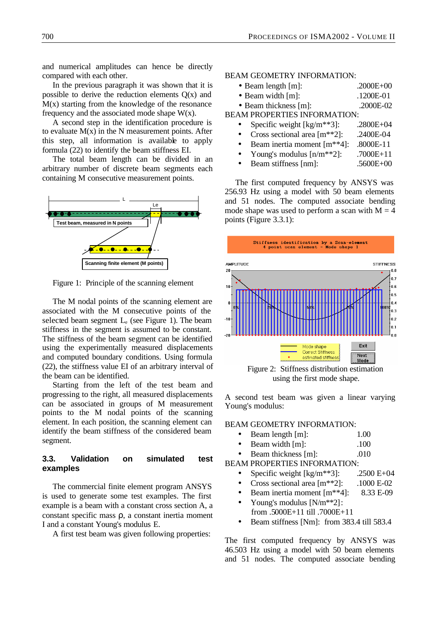and numerical amplitudes can hence be directly compared with each other.

In the previous paragraph it was shown that it is possible to derive the reduction elements  $O(x)$  and  $M(x)$  starting from the knowledge of the resonance frequency and the associated mode shape  $W(x)$ .

A second step in the identification procedure is to evaluate  $M(x)$  in the N measurement points. After this step, all information is available to apply formula (22) to identify the beam stiffness EI.

The total beam length can be divided in an arbitrary number of discrete beam segments each containing M consecutive measurement points.



Figure 1: Principle of the scanning element

The M nodal points of the scanning element are associated with the M consecutive points of the selected beam segment  $L_{e}$  (see Figure 1). The beam stiffness in the segment is assumed to be constant. The stiffness of the beam segment can be identified using the experimentally measured displacements and computed boundary conditions. Using formula (22), the stiffness value EI of an arbitrary interval of the beam can be identified.

Starting from the left of the test beam and progressing to the right, all measured displacements can be associated in groups of M measurement points to the M nodal points of the scanning element. In each position, the scanning element can identify the beam stiffness of the considered beam segment.

### **3.3. Validation on simulated test examples**

The commercial finite element program ANSYS is used to generate some test examples. The first example is a beam with a constant cross section A, a constant specific mass ρ, a constant inertia moment I and a constant Young's modulus E.

A first test beam was given following properties:

#### BEAM GEOMETRY INFORMATION:

| $\bullet$ Beam length [m]: |  | $.2000E + 00$                             |
|----------------------------|--|-------------------------------------------|
|                            |  | $\sim$ $\sim$ $\sim$ $\sim$ $\sim$ $\sim$ |

- Beam width [m]: .1200E-01
- Beam thickness [m]: .2000E-02

BEAM PROPERTIES INFORMATION:

- Specific weight  $[kg/m**3]$ : .2800E+04
- Cross sectional area [m<sup>\*\*2]</sup>: .2400E-04
- Beam inertia moment [m\*\*4]: .8000E-11
- Young's modulus  $[n/m**2]$ : .7000E+11
- Beam stiffness [nm]: .5600E+00

The first computed frequency by ANSYS was 256.93 Hz using a model with 50 beam elements and 51 nodes. The computed associate bending mode shape was used to perform a scan with  $M = 4$ points (Figure 3.3.1):



Figure 2: Stiffness distribution estimation using the first mode shape.

A second test beam was given a linear varying Young's modulus:

#### BEAM GEOMETRY INFORMATION:

- Beam length [m]: 1.00
- Beam width [m]: .100
- **Beam thickness [m]:** .010

BEAM PROPERTIES INFORMATION:

- Specific weight  $\text{[kg/m**3]}$ : .2500 E+04
- Cross sectional area  $[m^{**}2]$ : .1000 E-02
- Beam inertia moment [m\*\*4]: 8.33 E-09
- Young's modulus [N/m<sup>\*\*2]</sup>:
- from .5000E+11 till .7000E+11
- Beam stiffness [Nm]: from 383.4 till 583.4

The first computed frequency by ANSYS was 46.503 Hz using a model with 50 beam elements and 51 nodes. The computed associate bending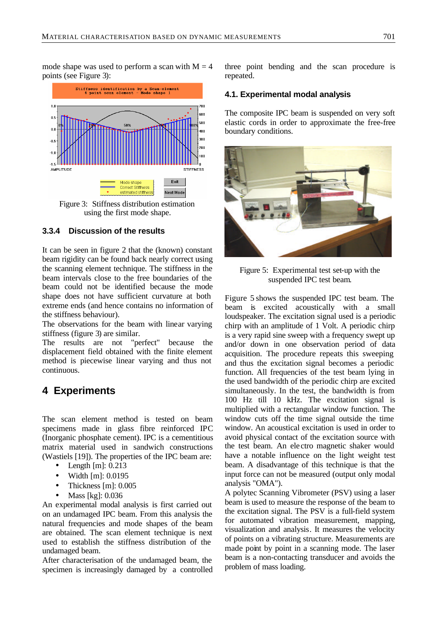mode shape was used to perform a scan with  $M = 4$ points (see Figure 3):



using the first mode shape.

### **3.3.4 Discussion of the results**

It can be seen in figure 2 that the (known) constant beam rigidity can be found back nearly correct using the scanning element technique. The stiffness in the beam intervals close to the free boundaries of the beam could not be identified because the mode shape does not have sufficient curvature at both extreme ends (and hence contains no information of the stiffness behaviour).

The observations for the beam with linear varying stiffness (figure 3) are similar.

The results are not "perfect" because the displacement field obtained with the finite element method is piecewise linear varying and thus not continuous.

## **4 Experiments**

The scan element method is tested on beam specimens made in glass fibre reinforced IPC (Inorganic phosphate cement). IPC is a cementitious matrix material used in sandwich constructions (Wastiels [19]). The properties of the IPC beam are:

- Length [m]: 0.213
- Width [m]: 0.0195
- Thickness [m]: 0.005
- Mass [kg]: 0.036

An experimental modal analysis is first carried out on an undamaged IPC beam. From this analysis the natural frequencies and mode shapes of the beam are obtained. The scan element technique is next used to establish the stiffness distribution of the undamaged beam.

After characterisation of the undamaged beam, the specimen is increasingly damaged by a controlled three point bending and the scan procedure is repeated.

### **4.1. Experimental modal analysis**

The composite IPC beam is suspended on very soft elastic cords in order to approximate the free-free boundary conditions.



Figure 5: Experimental test set-up with the suspended IPC test beam.

Figure 5 shows the suspended IPC test beam. The beam is excited acoustically with a small loudspeaker. The excitation signal used is a periodic chirp with an amplitude of 1 Volt. A periodic chirp is a very rapid sine sweep with a frequency swept up and/or down in one observation period of data acquisition. The procedure repeats this sweeping and thus the excitation signal becomes a periodic function. All frequencies of the test beam lying in the used bandwidth of the periodic chirp are excited simultaneously. In the test, the bandwidth is from 100 Hz till 10 kHz. The excitation signal is multiplied with a rectangular window function. The window cuts off the time signal outside the time window. An acoustical excitation is used in order to avoid physical contact of the excitation source with the test beam. An ele ctro magnetic shaker would have a notable influence on the light weight test beam. A disadvantage of this technique is that the input force can not be measured (output only modal analysis "OMA").

A polytec Scanning Vibrometer (PSV) using a laser beam is used to measure the response of the beam to the excitation signal. The PSV is a full-field system for automated vibration measurement, mapping, visualization and analysis. It measures the velocity of points on a vibrating structure. Measurements are made point by point in a scanning mode. The laser beam is a non-contacting transducer and avoids the problem of mass loading.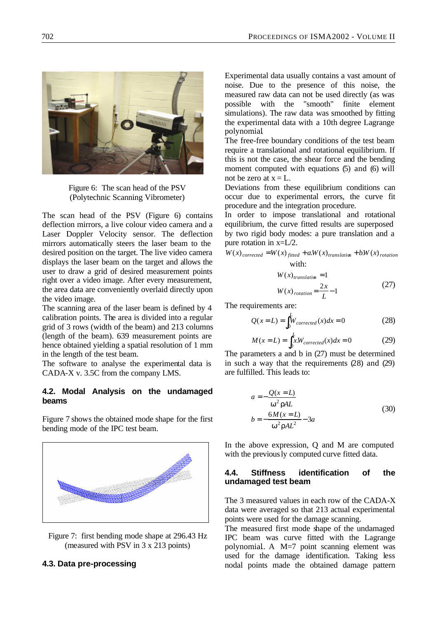

Figure 6: The scan head of the PSV (Polytechnic Scanning Vibrometer)

The scan head of the PSV (Figure 6) contains deflection mirrors, a live colour video camera and a Laser Doppler Velocity sensor. The deflection mirrors automatically steers the laser beam to the desired position on the target. The live video camera displays the laser beam on the target and allows the user to draw a grid of desired measurement points right over a video image. After every measurement, the area data are conveniently overlaid directly upon the video image.

The scanning area of the laser beam is defined by 4 calibration points. The area is divided into a regular grid of 3 rows (width of the beam) and 213 columns (length of the beam). 639 measurement points are hence obtained yielding a spatial resolution of 1 mm in the length of the test beam.

The software to analyse the experimental data is CADA-X v. 3.5C from the company LMS.

## **4.2. Modal Analysis on the undamaged beams**

Figure 7 shows the obtained mode shape for the first bending mode of the IPC test beam.



Figure 7: first bending mode shape at 296.43 Hz (measured with PSV in 3 x 213 points)

## **4.3. Data pre-processing**

Experimental data usually contains a vast amount of noise. Due to the presence of this noise, the measured raw data can not be used directly (as was possible with the "smooth" finite element simulations). The raw data was smoothed by fitting the experimental data with a 10th degree Lagrange polynomial.

The free-free boundary conditions of the test beam require a translational and rotational equilibrium. If this is not the case, the shear force and the bending moment computed with equations (5) and (6) will not be zero at  $x = L$ .

Deviations from these equilibrium conditions can occur due to experimental errors, the curve fit procedure and the integration procedure.

In order to impose translational and rotational equilibrium, the curve fitted results are superposed by two rigid body modes: a pure translation and a pure rotation in x=L/2.

$$
W(x)_{corrected} = W(x)_{fitted} + a.W(x)_{translation} + b.W(x)_{rotation}
$$
  
with:

$$
W(x)_{translation} = 1
$$
  
 
$$
W(x)_{rotation} = \frac{2x}{L} - 1
$$
 (27)

The requirements are:

$$
Q(x=L) = \int_0^L W_{corrected}(x)dx = 0
$$
 (28)

$$
M(x = L) = \int_0^L x W_{corrected}(x) dx = 0
$$
 (29)

The parameters a and b in (27) must be determined in such a way that the requirements (28) and (29) are fulfilled. This leads to:

$$
a = -\frac{Q(x=L)}{w^2 rAL}
$$
  
\n
$$
b = -\frac{6M(x=L)}{w^2 rAL^2} - 3a
$$
 (30)

In the above expression, Q and M are computed with the previously computed curve fitted data.

#### **4.4. Stiffness identification of the undamaged test beam**

The 3 measured values in each row of the CADA-X data were averaged so that 213 actual experimental points were used for the damage scanning.

The measured first mode shape of the undamaged IPC beam was curve fitted with the Lagrange polynomial.. A M=7 point scanning element was used for the damage identification. Taking less nodal points made the obtained damage pattern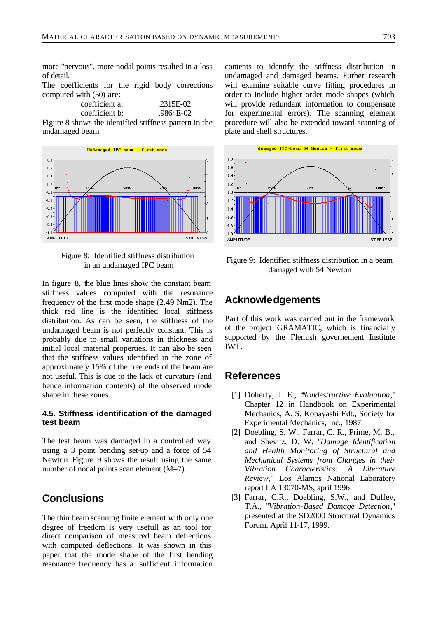more "nervous", more nodal points resulted in a loss of detail.

The coefficients for the rigid body corrections computed with (30) are:

| coefficient a: | $.2315E-02$ |
|----------------|-------------|
| coefficient b: | .9864E-02   |

Figure 8 shows the identified stiffness pattern in the undamaged beam



Figure 8: Identified stiffness distribution in an undamaged IPC beam

In figure 8, the blue lines show the constant beam stiffness values computed with the resonance frequency of the first mode shape (2.49 Nm2). The thick red line is the identified local stiffness distribution. As can be seen, the stiffness of the undamaged beam is not perfectly constant. This is probably due to small variations in thickness and initial local material properties. It can also be seen that the stiffness values identified in the zone of approximately 15% of the free ends of the beam are not useful. This is due to the lack of curvature (and hence information contents) of the observed mode shape in these zones.

### **4.5. Stiffness identification of the damaged test beam**

The test beam was damaged in a controlled way using a 3 point bending set-up and a force of 54 Newton. Figure 9 shows the result using the same number of nodal points scan element (M=7).

## **Conclusions**

The thin beam scanning finite element with only one degree of freedom is very usefull as an tool for direct comparison of measured beam deflections with computed deflections. It was shown in this paper that the mode shape of the first bending resonance frequency has a sufficient information contents to identify the stiffness distribution in undamaged and damaged beams. Furher research will examine suitable curve fitting procedures in order to include higher order mode shapes (which will provide redundant information to compensate for experimental errors). The scanning element procedure will also be extended toward scanning of plate and shell structures.



Figure 9: Identified stiffness distribution in a beam damaged with 54 Newton

## **Acknowledgements**

Part of this work was carried out in the framework of the project GRAMATIC, which is financially supported by the Flemish governement Institute IWT.

## **References**

- [1] Doherty, J. E., "*Nondestructive Evaluation*," Chapter 12 in Handbook on Experimental Mechanics, A. S. Kobayashi Edt., Society for Experimental Mechanics, Inc., 1987.
- [2] Doebling, S. W., Farrar, C. R., Prime, M. B., and Shevitz, D. W. "*Damage Identification and Health Monitoring of Structural and Mechanical Systems from Changes in their Vibration Characteristics: A Literature Review,*" Los Alamos National Laboratory report LA 13070-MS, april 1996
- [3] Farrar, C.R., Doebling, S.W., and Duffey, T.A., "*Vibration-Based Damage Detection*," presented at the SD2000 Structural Dynamics Forum, April 11-17, 1999.